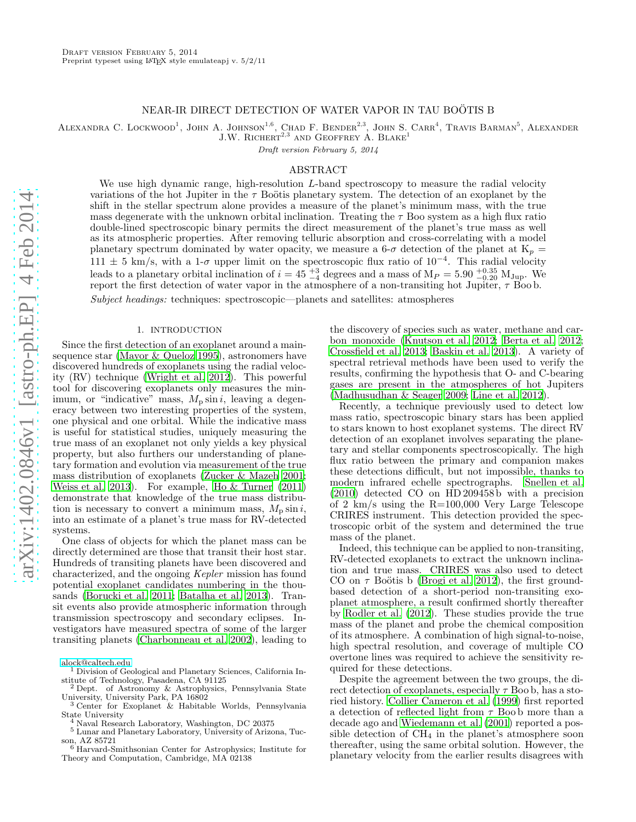## NEAR-IR DIRECT DETECTION OF WATER VAPOR IN TAU BOÖTIS B

ALEXANDRA C. LOCKWOOD<sup>1</sup>, JOHN A. JOHNSON<sup>1,6</sup>, CHAD F. BENDER<sup>2,3</sup>, JOHN S. CARR<sup>4</sup>, TRAVIS BARMAN<sup>5</sup>, ALEXANDER

 $J.W.$  RICHERT<sup>2,3</sup> AND GEOFFREY A. BLAKE<sup>1</sup>

Draft version February 5, 2014

# ABSTRACT

We use high dynamic range, high-resolution  $L$ -band spectroscopy to measure the radial velocity variations of the hot Jupiter in the  $\tau$  Boötis planetary system. The detection of an exoplanet by the shift in the stellar spectrum alone provides a measure of the planet's minimum mass, with the true mass degenerate with the unknown orbital inclination. Treating the  $\tau$  Boo system as a high flux ratio double-lined spectroscopic binary permits the direct measurement of the planet's true mass as well as its atmospheric properties. After removing telluric absorption and cross-correlating with a model planetary spectrum dominated by water opacity, we measure a  $6-\sigma$  detection of the planet at  $K_p =$ 111  $\pm$  5 km/s, with a 1-σ upper limit on the spectroscopic flux ratio of 10<sup>-4</sup>. This radial velocity leads to a planetary orbital inclination of  $i = 45\frac{+3}{-4}$  degrees and a mass of  $M_P = 5.90\frac{+0.35}{-0.20}$   $M_{Jup}$ . We report the first detection of water vapor in the atmosphere of a non-transiting hot Jupiter,  $\tau$  Boob.

Subject headings: techniques: spectroscopic—planets and satellites: atmospheres

# 1. INTRODUCTION

Since the first detection of an exoplanet around a mainsequence star [\(Mayor & Queloz 1995](#page-5-0)), astronomers have discovered hundreds of exoplanets using the radial velocity (RV) technique [\(Wright et al. 2012](#page-5-1)). This powerful tool for discovering exoplanets only measures the minimum, or "indicative" mass,  $M_p \sin i$ , leaving a degeneracy between two interesting properties of the system, one physical and one orbital. While the indicative mass is useful for statistical studies, uniquely measuring the true mass of an exoplanet not only yields a key physical property, but also furthers our understanding of planetary formation and evolution via measurement of the true mass distribution of exoplanets [\(Zucker & Mazeh 2001;](#page-5-2) [Weiss et al. 2013\)](#page-5-3). For example, [Ho & Turner \(2011](#page-5-4)) demonstrate that knowledge of the true mass distribution is necessary to convert a minimum mass,  $M_p \sin i$ , into an estimate of a planet's true mass for RV-detected systems.

One class of objects for which the planet mass can be directly determined are those that transit their host star. Hundreds of transiting planets have been discovered and characterized, and the ongoing Kepler mission has found potential exoplanet candidates numbering in the thousands [\(Borucki et al. 2011](#page-5-5); [Batalha et al. 2013](#page-5-6)). Transit events also provide atmospheric information through transmission spectroscopy and secondary eclipses. Investigators have measured spectra of some of the larger transiting planets [\(Charbonneau et al. 2002\)](#page-5-7), leading to

[alock@caltech.edu](mailto:alock@caltech.edu)

the discovery of species such as water, methane and carbon monoxide [\(Knutson et al. 2012;](#page-5-8) [Berta et al. 2012](#page-5-9); [Crossfield et al. 2013;](#page-5-10) [Baskin et al. 2013](#page-5-11)). A variety of spectral retrieval methods have been used to verify the results, confirming the hypothesis that O- and C-bearing gases are present in the atmospheres of hot Jupiters [\(Madhusudhan & Seager 2009;](#page-5-12) [Line et al. 2012\)](#page-5-13).

Recently, a technique previously used to detect low mass ratio, spectroscopic binary stars has been applied to stars known to host exoplanet systems. The direct RV detection of an exoplanet involves separating the planetary and stellar components spectroscopically. The high flux ratio between the primary and companion makes these detections difficult, but not impossible, thanks to modern infrared echelle spectrographs. [Snellen et al.](#page-5-14)  $(2010)$  detected CO on HD 209458b with a precision of 2 km/s using the R=100,000 Very Large Telescope CRIRES instrument. This detection provided the spectroscopic orbit of the system and determined the true mass of the planet.

Indeed, this technique can be applied to non-transiting, RV-detected exoplanets to extract the unknown inclination and true mass. CRIRES was also used to detect CO on  $\tau$  Boötis b [\(Brogi et al. 2012\)](#page-5-15), the first groundbased detection of a short-period non-transiting exoplanet atmosphere, a result confirmed shortly thereafter by [Rodler et al. \(2012\)](#page-5-16). These studies provide the true mass of the planet and probe the chemical composition of its atmosphere. A combination of high signal-to-noise, high spectral resolution, and coverage of multiple CO overtone lines was required to achieve the sensitivity required for these detections.

Despite the agreement between the two groups, the direct detection of exoplanets, especially  $\tau$  Boo b, has a storied history. [Collier Cameron et al. \(1999\)](#page-5-17) first reported a detection of reflected light from  $\tau$  Boob more than a decade ago and [Wiedemann et al. \(2001\)](#page-5-18) reported a possible detection of  $CH_4$  in the planet's atmosphere soon thereafter, using the same orbital solution. However, the planetary velocity from the earlier results disagrees with

<sup>1</sup> Division of Geological and Planetary Sciences, California Institute of Technology, Pasadena, CA 91125

<sup>2</sup> Dept. of Astronomy & Astrophysics, Pennsylvania State University, University Park, PA 16802

<sup>3</sup> Center for Exoplanet & Habitable Worlds, Pennsylvania State University

<sup>4</sup> Naval Research Laboratory, Washington, DC 20375

<sup>5</sup> Lunar and Planetary Laboratory, University of Arizona, Tuc-

son, AZ 85721 <sup>6</sup> Harvard-Smithsonian Center for Astrophysics; Institute for Theory and Computation, Cambridge, MA 02138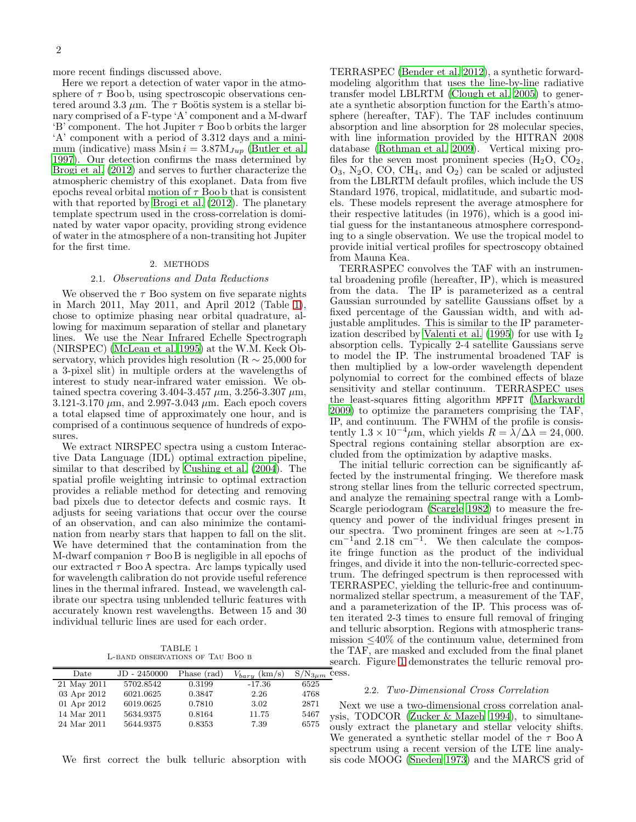more recent findings discussed above.

Here we report a detection of water vapor in the atmosphere of  $\tau$  Boo b, using spectroscopic observations centered around 3.3  $\mu$ m. The  $\tau$  Boötis system is a stellar binary comprised of a F-type 'A' component and a M-dwarf 'B' component. The hot Jupiter  $\tau$  Boo b orbits the larger 'A' component with a period of 3.312 days and a minimum (indicative) mass Msin  $i = 3.87 M_{Jup}$  [\(Butler et al.](#page-5-19) [1997\)](#page-5-19). Our detection confirms the mass determined by [Brogi et al. \(2012\)](#page-5-15) and serves to further characterize the atmospheric chemistry of this exoplanet. Data from five epochs reveal orbital motion of  $\tau$  Boob that is consistent with that reported by [Brogi et al. \(2012\)](#page-5-15). The planetary template spectrum used in the cross-correlation is dominated by water vapor opacity, providing strong evidence of water in the atmosphere of a non-transiting hot Jupiter for the first time.

## 2. METHODS

### 2.1. Observations and Data Reductions

We observed the  $\tau$  Boo system on five separate nights in March 2011, May 2011, and April 2012 (Table [1\)](#page-1-0), chose to optimize phasing near orbital quadrature, allowing for maximum separation of stellar and planetary lines. We use the Near Infrared Echelle Spectrograph (NIRSPEC) [\(McLean et al. 1995\)](#page-5-20) at the W.M. Keck Observatory, which provides high resolution ( $R \sim 25,000$  for a 3-pixel slit) in multiple orders at the wavelengths of interest to study near-infrared water emission. We obtained spectra covering 3.404-3.457  $\mu$ m, 3.256-3.307  $\mu$ m, 3.121-3.170  $\mu$ m, and 2.997-3.043  $\mu$ m. Each epoch covers a total elapsed time of approximately one hour, and is comprised of a continuous sequence of hundreds of exposures.

We extract NIRSPEC spectra using a custom Interactive Data Language (IDL) optimal extraction pipeline, similar to that described by [Cushing et al. \(2004\)](#page-5-21). The spatial profile weighting intrinsic to optimal extraction provides a reliable method for detecting and removing bad pixels due to detector defects and cosmic rays. It adjusts for seeing variations that occur over the course of an observation, and can also minimize the contamination from nearby stars that happen to fall on the slit. We have determined that the contamination from the M-dwarf companion  $\tau$  Boo B is negligible in all epochs of our extracted  $\tau$  Boo A spectra. Arc lamps typically used for wavelength calibration do not provide useful reference lines in the thermal infrared. Instead, we wavelength calibrate our spectra using unblended telluric features with accurately known rest wavelengths. Between 15 and 30 individual telluric lines are used for each order.

TABLE 1 L-band observations of Tau Boo b

<span id="page-1-0"></span>

| Date        | $JD - 2450000$ | Phase (rad) | (km/s)<br>$V_{baru}$ | $S/N_{3\mu m}$ |
|-------------|----------------|-------------|----------------------|----------------|
| 21 May 2011 | 5702.8542      | 0.3199      | -17.36               | 6525           |
| 03 Apr 2012 | 6021.0625      | 0.3847      | 2.26                 | 4768           |
| 01 Apr 2012 | 6019.0625      | 0.7810      | 3.02                 | 2871           |
| 14 Mar 2011 | 5634.9375      | 0.8164      | 11.75                | 5467           |
| 24 Mar 2011 | 5644.9375      | 0.8353      | 7.39                 | 6575           |
|             |                |             |                      |                |

We first correct the bulk telluric absorption with

TERRASPEC [\(Bender et al. 2012\)](#page-5-22), a synthetic forwardmodeling algorithm that uses the line-by-line radiative transfer model LBLRTM [\(Clough et al. 2005](#page-5-23)) to generate a synthetic absorption function for the Earth's atmosphere (hereafter, TAF). The TAF includes continuum absorption and line absorption for 28 molecular species, with line information provided by the HITRAN 2008 database [\(Rothman et al. 2009\)](#page-5-24). Vertical mixing profiles for the seven most prominent species  $(H_2O, CO_2,$  $O_3$ , N<sub>2</sub>O, CO, CH<sub>4</sub>, and  $O_2$ ) can be scaled or adjusted from the LBLRTM default profiles, which include the US Standard 1976, tropical, midlatitude, and subartic models. These models represent the average atmosphere for their respective latitudes (in 1976), which is a good initial guess for the instantaneous atmosphere corresponding to a single observation. We use the tropical model to provide initial vertical profiles for spectroscopy obtained from Mauna Kea.

TERRASPEC convolves the TAF with an instrumental broadening profile (hereafter, IP), which is measured from the data. The IP is parameterized as a central Gaussian surrounded by satellite Gaussians offset by a fixed percentage of the Gaussian width, and with adjustable amplitudes. This is similar to the IP parameterization described by Valenti et al.  $(1995)$  for use with  $I_2$ absorption cells. Typically 2-4 satellite Gaussians serve to model the IP. The instrumental broadened TAF is then multiplied by a low-order wavelength dependent polynomial to correct for the combined effects of blaze sensitivity and stellar continuum. TERRASPEC uses the least-squares fitting algorithm MPFIT [\(Markwardt](#page-5-26) [2009\)](#page-5-26) to optimize the parameters comprising the TAF, IP, and continuum. The FWHM of the profile is consistently  $1.3 \times 10^{-4} \mu \text{m}$ , which yields  $R = \lambda / \Delta \lambda = 24,000$ . Spectral regions containing stellar absorption are excluded from the optimization by adaptive masks.

The initial telluric correction can be significantly affected by the instrumental fringing. We therefore mask strong stellar lines from the telluric corrected spectrum, and analyze the remaining spectral range with a Lomb-Scargle periodogram [\(Scargle 1982\)](#page-5-27) to measure the frequency and power of the individual fringes present in our spectra. Two prominent fringes are seen at ∼1.75  $\text{cm}^{-1}$ and 2.18 cm<sup>-1</sup>. We then calculate the composite fringe function as the product of the individual fringes, and divide it into the non-telluric-corrected spectrum. The defringed spectrum is then reprocessed with TERRASPEC, yielding the telluric-free and continuumnormalized stellar spectrum, a measurement of the TAF, and a parameterization of the IP. This process was often iterated 2-3 times to ensure full removal of fringing and telluric absorption. Regions with atmospheric transmission  $\leq 40\%$  of the continuum value, determined from the TAF, are masked and excluded from the final planet search. Figure [1](#page-2-0) demonstrates the telluric removal process.

#### 2.2. Two-Dimensional Cross Correlation

Next we use a two-dimensional cross correlation analysis, TODCOR [\(Zucker & Mazeh 1994\)](#page-5-28), to simultaneously extract the planetary and stellar velocity shifts. We generated a synthetic stellar model of the  $\tau$  Boo A spectrum using a recent version of the LTE line analysis code MOOG [\(Sneden 1973](#page-5-29)) and the MARCS grid of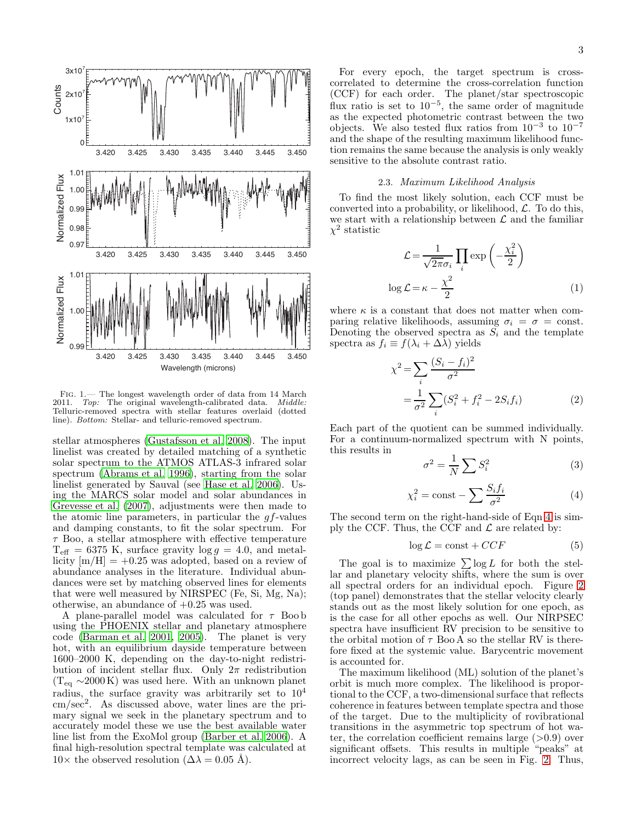

<span id="page-2-0"></span>FIG. 1.— The longest wavelength order of data from 14 March<br>011. Ton: The original wavelength-calibrated data. Middle: 2011. Top: The original wavelength-calibrated data. Telluric-removed spectra with stellar features overlaid (dotted line). Bottom: Stellar- and telluric-removed spectrum.

stellar atmospheres [\(Gustafsson et al. 2008](#page-5-30)). The input linelist was created by detailed matching of a synthetic solar spectrum to the ATMOS ATLAS-3 infrared solar spectrum [\(Abrams et al. 1996\)](#page-5-31), starting from the solar linelist generated by Sauval (see [Hase et al. 2006\)](#page-5-32). Using the MARCS solar model and solar abundances in [Grevesse et al. \(2007](#page-5-33)), adjustments were then made to the atomic line parameters, in particular the  $gf$ -values and damping constants, to fit the solar spectrum. For  $\tau$  Boo, a stellar atmosphere with effective temperature  $T_{\text{eff}} = 6375$  K, surface gravity  $\log g = 4.0$ , and metallicity  $|m/H| = +0.25$  was adopted, based on a review of abundance analyses in the literature. Individual abundances were set by matching observed lines for elements that were well measured by NIRSPEC (Fe, Si, Mg, Na); otherwise, an abundance of  $+0.25$  was used.

A plane-parallel model was calculated for  $\tau$  Boo b using the PHOENIX stellar and planetary atmosphere code [\(Barman et al. 2001,](#page-5-34) [2005\)](#page-5-35). The planet is very hot, with an equilibrium dayside temperature between 1600–2000 K, depending on the day-to-night redistribution of incident stellar flux. Only  $2\pi$  redistribution  $(T_{eq} \sim 2000 \text{ K})$  was used here. With an unknown planet radius, the surface gravity was arbitrarily set to  $10^4$ cm/sec<sup>2</sup> . As discussed above, water lines are the primary signal we seek in the planetary spectrum and to accurately model these we use the best available water line list from the ExoMol group [\(Barber et al. 2006](#page-5-36)). A final high-resolution spectral template was calculated at  $10\times$  the observed resolution ( $\Delta\lambda = 0.05$  Å).

For every epoch, the target spectrum is crosscorrelated to determine the cross-correlation function (CCF) for each order. The planet/star spectroscopic flux ratio is set to  $10^{-5}$ , the same order of magnitude as the expected photometric contrast between the two objects. We also tested flux ratios from  $10^{-3}$  to  $10^{-7}$ and the shape of the resulting maximum likelihood function remains the same because the analysis is only weakly sensitive to the absolute contrast ratio.

## 2.3. Maximum Likelihood Analysis

To find the most likely solution, each CCF must be converted into a probability, or likelihood,  $\mathcal{L}$ . To do this, we start with a relationship between  ${\mathcal L}$  and the familiar  $\chi^2$  statistic

$$
\mathcal{L} = \frac{1}{\sqrt{2\pi}\sigma_i} \prod_i \exp\left(-\frac{\chi_i^2}{2}\right)
$$

$$
\log \mathcal{L} = \kappa - \frac{\chi^2}{2} \tag{1}
$$

where  $\kappa$  is a constant that does not matter when comparing relative likelihoods, assuming  $\sigma_i = \sigma = \text{const.}$ Denoting the observed spectra as  $S_i$  and the template spectra as  $f_i \equiv f(\lambda_i + \Delta \overline{\lambda})$  yields

$$
\chi^{2} = \sum_{i} \frac{(S_{i} - f_{i})^{2}}{\sigma^{2}}
$$
  
=  $\frac{1}{\sigma^{2}} \sum_{i} (S_{i}^{2} + f_{i}^{2} - 2S_{i}f_{i})$  (2)

Each part of the quotient can be summed individually. For a continuum-normalized spectrum with N points, this results in

$$
\sigma^2 = \frac{1}{N} \sum S_i^2 \tag{3}
$$

<span id="page-2-1"></span>
$$
\chi_i^2 = \text{const} - \sum \frac{S_i f_i}{\sigma^2} \tag{4}
$$

The second term on the right-hand-side of Eqn [4](#page-2-1) is simply the CCF. Thus, the CCF and  $\mathcal L$  are related by:

$$
\log \mathcal{L} = \text{const} + CCF \tag{5}
$$

The goal is to maximize  $\sum \log L$  for both the stellar and planetary velocity shifts, where the sum is over all spectral orders for an individual epoch. Figure [2](#page-3-0) (top panel) demonstrates that the stellar velocity clearly stands out as the most likely solution for one epoch, as is the case for all other epochs as well. Our NIRPSEC spectra have insufficient RV precision to be sensitive to the orbital motion of  $\tau$  Boo A so the stellar RV is therefore fixed at the systemic value. Barycentric movement is accounted for.

The maximum likelihood (ML) solution of the planet's orbit is much more complex. The likelihood is proportional to the CCF, a two-dimensional surface that reflects coherence in features between template spectra and those of the target. Due to the multiplicity of rovibrational transitions in the asymmetric top spectrum of hot water, the correlation coefficient remains large  $(>0.9)$  over significant offsets. This results in multiple "peaks" at incorrect velocity lags, as can be seen in Fig. [2.](#page-3-0) Thus,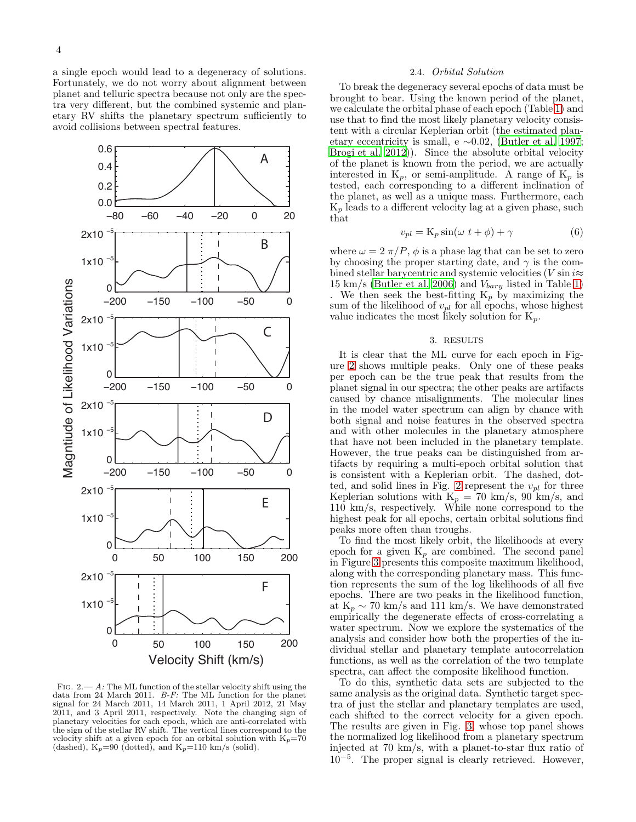a single epoch would lead to a degeneracy of solutions. Fortunately, we do not worry about alignment between planet and telluric spectra because not only are the spectra very different, but the combined systemic and planetary RV shifts the planetary spectrum sufficiently to avoid collisions between spectral features.



<span id="page-3-0"></span>FIG.  $2 - A$ : The ML function of the stellar velocity shift using the data from 24 March 2011. B-F: The ML function for the planet signal for 24 March 2011, 14 March 2011, 1 April 2012, 21 May 2011, and 3 April 2011, respectively. Note the changing sign of planetary velocities for each epoch, which are anti-correlated with the sign of the stellar RV shift. The vertical lines correspond to the velocity shift at a given epoch for an orbital solution with  $K_p=70$ (dashed),  $K_p=90$  (dotted), and  $K_p=110$  km/s (solid).

### 2.4. Orbital Solution

To break the degeneracy several epochs of data must be brought to bear. Using the known period of the planet, we calculate the orbital phase of each epoch (Table [1\)](#page-1-0) and use that to find the most likely planetary velocity consistent with a circular Keplerian orbit (the estimated planetary eccentricity is small, e  $\sim 0.02$ , [\(Butler et al. 1997](#page-5-19); [Brogi et al. 2012](#page-5-15))). Since the absolute orbital velocity of the planet is known from the period, we are actually interested in  $K_p$ , or semi-amplitude. A range of  $K_p$  is tested, each corresponding to a different inclination of the planet, as well as a unique mass. Furthermore, each  $K_p$  leads to a different velocity lag at a given phase, such that

$$
v_{pl} = \mathcal{K}_p \sin(\omega t + \phi) + \gamma \tag{6}
$$

where  $\omega = 2 \pi / P$ ,  $\phi$  is a phase lag that can be set to zero by choosing the proper starting date, and  $\gamma$  is the combined stellar barycentric and systemic velocities (V sin  $i\approx$ 15 km/s [\(Butler et al. 2006\)](#page-5-37) and  $V_{bary}$  listed in Table [1\)](#page-1-0) . We then seek the best-fitting  $K_p$  by maximizing the sum of the likelihood of  $v_{pl}$  for all epochs, whose highest value indicates the most likely solution for  $K_p$ .

# 3. RESULTS

It is clear that the ML curve for each epoch in Figure [2](#page-3-0) shows multiple peaks. Only one of these peaks per epoch can be the true peak that results from the planet signal in our spectra; the other peaks are artifacts caused by chance misalignments. The molecular lines in the model water spectrum can align by chance with both signal and noise features in the observed spectra and with other molecules in the planetary atmosphere that have not been included in the planetary template. However, the true peaks can be distinguished from artifacts by requiring a multi-epoch orbital solution that is consistent with a Keplerian orbit. The dashed, dot-ted, and solid lines in Fig. [2](#page-3-0) represent the  $v_{pl}$  for three Keplerian solutions with  $K_p = 70 \text{ km/s}, 90 \text{ km/s}, \text{ and}$ 110 km/s, respectively. While none correspond to the highest peak for all epochs, certain orbital solutions find peaks more often than troughs.

To find the most likely orbit, the likelihoods at every epoch for a given  $K_p$  are combined. The second panel in Figure [3](#page-4-0) presents this composite maximum likelihood, along with the corresponding planetary mass. This function represents the sum of the log likelihoods of all five epochs. There are two peaks in the likelihood function, at  $K_p \sim 70 \text{ km/s}$  and 111 km/s. We have demonstrated empirically the degenerate effects of cross-correlating a water spectrum. Now we explore the systematics of the analysis and consider how both the properties of the individual stellar and planetary template autocorrelation functions, as well as the correlation of the two template spectra, can affect the composite likelihood function.

To do this, synthetic data sets are subjected to the same analysis as the original data. Synthetic target spectra of just the stellar and planetary templates are used, each shifted to the correct velocity for a given epoch. The results are given in Fig. [3,](#page-4-0) whose top panel shows the normalized log likelihood from a planetary spectrum injected at 70 km/s, with a planet-to-star flux ratio of 10−<sup>5</sup> . The proper signal is clearly retrieved. However,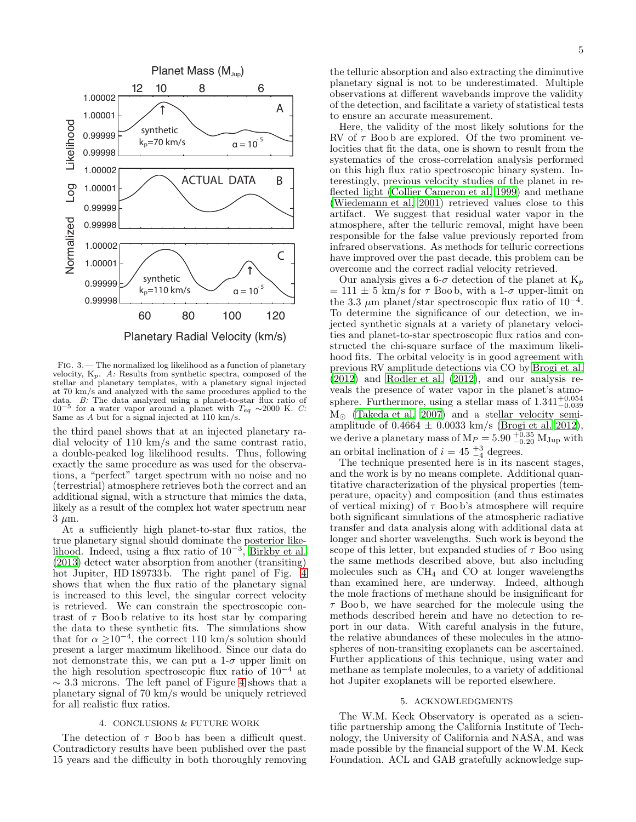

<span id="page-4-0"></span>Fig. 3.— The normalized log likelihood as a function of planetary velocity,  $K_p$ . A: Results from synthetic spectra, composed of the stellar and planetary templates, with a planetary signal injected at 70 km/s and analyzed with the same procedures applied to the data. B: The data analyzed using a planet-to-star flux ratio of 10<sup>-5</sup> for a water vapor around a planet with  $T_{eq} \sim 2000$  K. C: Same as A but for a signal injected at 110 km/s.

the third panel shows that at an injected planetary radial velocity of 110 km/s and the same contrast ratio, a double-peaked log likelihood results. Thus, following exactly the same procedure as was used for the observations, a "perfect" target spectrum with no noise and no (terrestrial) atmosphere retrieves both the correct and an additional signal, with a structure that mimics the data, likely as a result of the complex hot water spectrum near  $3 \mu m$ .

At a sufficiently high planet-to-star flux ratios, the true planetary signal should dominate the posterior likelihood. Indeed, using a flux ratio of  $10^{-3}$ , [Birkby et al.](#page-5-38) [\(2013\)](#page-5-38) detect water absorption from another (transiting) hot Jupiter, HD 189733 b. The right panel of Fig. [4](#page-5-39) shows that when the flux ratio of the planetary signal is increased to this level, the singular correct velocity is retrieved. We can constrain the spectroscopic contrast of  $\tau$  Boob relative to its host star by comparing the data to these synthetic fits. The simulations show that for  $\alpha \geq 10^{-4}$ , the correct 110 km/s solution should present a larger maximum likelihood. Since our data do not demonstrate this, we can put a  $1-\sigma$  upper limit on the high resolution spectroscopic flux ratio of  $10^{-4}$  at  $\sim$  3.3 microns. The left panel of Figure [4](#page-5-39) shows that a planetary signal of 70 km/s would be uniquely retrieved for all realistic flux ratios.

## 4. CONCLUSIONS & FUTURE WORK

The detection of  $\tau$  Boob has been a difficult quest. Contradictory results have been published over the past 15 years and the difficulty in both thoroughly removing

the telluric absorption and also extracting the diminutive planetary signal is not to be underestimated. Multiple observations at different wavebands improve the validity of the detection, and facilitate a variety of statistical tests to ensure an accurate measurement.

Here, the validity of the most likely solutions for the RV of  $\tau$  Boob are explored. Of the two prominent velocities that fit the data, one is shown to result from the systematics of the cross-correlation analysis performed on this high flux ratio spectroscopic binary system. Interestingly, previous velocity studies of the planet in reflected light [\(Collier Cameron et al. 1999\)](#page-5-17) and methane [\(Wiedemann et al. 2001\)](#page-5-18) retrieved values close to this artifact. We suggest that residual water vapor in the atmosphere, after the telluric removal, might have been responsible for the false value previously reported from infrared observations. As methods for telluric corrections have improved over the past decade, this problem can be overcome and the correct radial velocity retrieved.

Our analysis gives a 6- $\sigma$  detection of the planet at  $K_p$  $= 111 \pm 5 \text{ km/s}$  for  $\tau$  Boob, with a 1- $\sigma$  upper-limit on the 3.3  $\mu$ m planet/star spectroscopic flux ratio of 10<sup>-4</sup>. To determine the significance of our detection, we injected synthetic signals at a variety of planetary velocities and planet-to-star spectroscopic flux ratios and constructed the chi-square surface of the maximum likelihood fits. The orbital velocity is in good agreement with previous RV amplitude detections via CO by [Brogi et al.](#page-5-15) [\(2012\)](#page-5-15) and [Rodler et al. \(2012\)](#page-5-16), and our analysis reveals the presence of water vapor in the planet's atmosphere. Furthermore, using a stellar mass of  $1.341_{-0.039}^{+0.054}$ M<sup>⊙</sup> [\(Takeda et al. 2007\)](#page-5-40) and a stellar velocity semiamplitude of  $0.4664 \pm 0.0033$  km/s [\(Brogi et al. 2012](#page-5-15)), we derive a planetary mass of  $M_P = 5.90_{-0.20}^{+0.35} M_{\text{Jup}}$  with an orbital inclination of  $i = 45\frac{+3}{-4}$  degrees.

The technique presented here is in its nascent stages, and the work is by no means complete. Additional quantitative characterization of the physical properties (temperature, opacity) and composition (and thus estimates of vertical mixing) of  $\tau$  Boo b's atmosphere will require both significant simulations of the atmospheric radiative transfer and data analysis along with additional data at longer and shorter wavelengths. Such work is beyond the scope of this letter, but expanded studies of  $\tau$  Boo using the same methods described above, but also including molecules such as  $CH_4$  and CO at longer wavelengths than examined here, are underway. Indeed, although the mole fractions of methane should be insignificant for  $\tau$  Boo b, we have searched for the molecule using the methods described herein and have no detection to report in our data. With careful analysis in the future, the relative abundances of these molecules in the atmospheres of non-transiting exoplanets can be ascertained. Further applications of this technique, using water and methane as template molecules, to a variety of additional hot Jupiter exoplanets will be reported elsewhere.

### 5. ACKNOWLEDGMENTS

The W.M. Keck Observatory is operated as a scientific partnership among the California Institute of Technology, the University of California and NASA, and was made possible by the financial support of the W.M. Keck Foundation. ACL and GAB gratefully acknowledge sup-